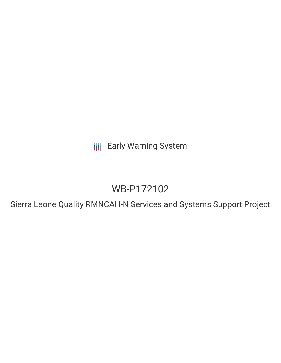**III** Early Warning System

# WB-P172102

Sierra Leone Quality RMNCAH-N Services and Systems Support Project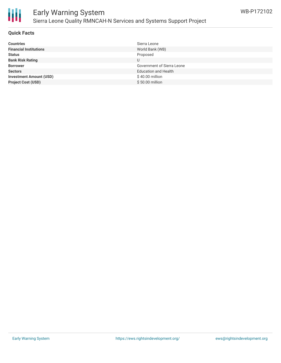

# Early Warning System Sierra Leone Quality RMNCAH-N Services and Systems Support Project

## **Quick Facts**

| <b>Countries</b>               | Sierra Leone                      |
|--------------------------------|-----------------------------------|
| <b>Financial Institutions</b>  | World Bank (WB)                   |
| <b>Status</b>                  | Proposed                          |
| <b>Bank Risk Rating</b>        | U                                 |
| <b>Borrower</b>                | <b>Government of Sierra Leone</b> |
| <b>Sectors</b>                 | <b>Education and Health</b>       |
| <b>Investment Amount (USD)</b> | \$40.00 million                   |
| <b>Project Cost (USD)</b>      | $$50.00$ million                  |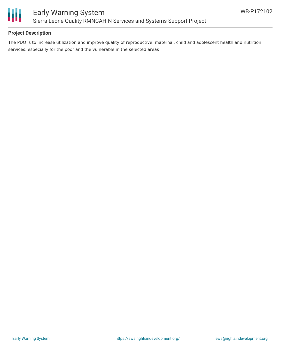

# **Project Description**

The PDO is to increase utilization and improve quality of reproductive, maternal, child and adolescent health and nutrition services, especially for the poor and the vulnerable in the selected areas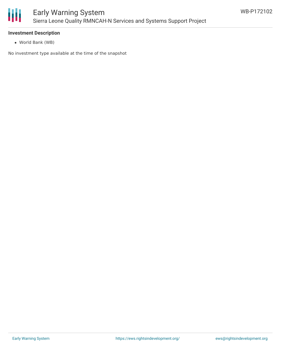

#### **Investment Description**

World Bank (WB)

No investment type available at the time of the snapshot